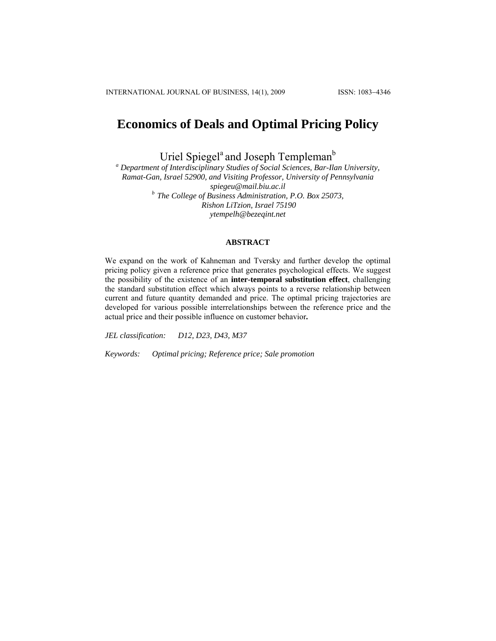# **Economics of Deals and Optimal Pricing Policy**

Uriel Spiegel<sup>a</sup> and Joseph Templeman<sup>b</sup>

*a Department of Interdisciplinary Studies of Social Sciences, Bar-Ilan University, Ramat-Gan, Israel 52900, and Visiting Professor, University of Pennsylvania spiegeu@mail.biu.ac.il b The College of Business Administration, P.O. Box 25073, Rishon LiTzion, Israel 75190 [ytempelh@bezeqint.net](mailto:ytempelh@bezeqint.net)*

## **ABSTRACT**

We expand on the work of Kahneman and Tversky and further develop the optimal pricing policy given a reference price that generates psychological effects. We suggest the possibility of the existence of an **inter-temporal substitution effect**, challenging the standard substitution effect which always points to a reverse relationship between current and future quantity demanded and price. The optimal pricing trajectories are developed for various possible interrelationships between the reference price and the actual price and their possible influence on customer behavior**.** 

*JEL classification: D12, D23, D43, M37* 

*Keywords: Optimal pricing; Reference price; Sale promotion*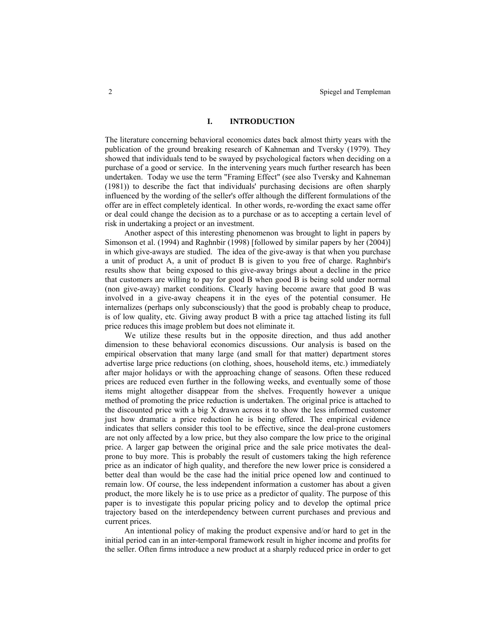## **I. INTRODUCTION**

The literature concerning behavioral economics dates back almost thirty years with the publication of the ground breaking research of Kahneman and Tversky (1979). They showed that individuals tend to be swayed by psychological factors when deciding on a purchase of a good or service. In the intervening years much further research has been undertaken. Today we use the term "Framing Effect" (see also Tversky and Kahneman (1981)) to describe the fact that individuals' purchasing decisions are often sharply influenced by the wording of the seller's offer although the different formulations of the offer are in effect completely identical. In other words, re-wording the exact same offer or deal could change the decision as to a purchase or as to accepting a certain level of risk in undertaking a project or an investment.

Another aspect of this interesting phenomenon was brought to light in papers by Simonson et al. (1994) and Raghnbir (1998) [followed by similar papers by her (2004)] in which give-aways are studied. The idea of the give-away is that when you purchase a unit of product A, a unit of product B is given to you free of charge. Raghnbir's results show that being exposed to this give-away brings about a decline in the price that customers are willing to pay for good B when good B is being sold under normal (non give-away) market conditions. Clearly having become aware that good B was involved in a give-away cheapens it in the eyes of the potential consumer. He internalizes (perhaps only subconsciously) that the good is probably cheap to produce, is of low quality, etc. Giving away product B with a price tag attached listing its full price reduces this image problem but does not eliminate it.

We utilize these results but in the opposite direction, and thus add another dimension to these behavioral economics discussions. Our analysis is based on the empirical observation that many large (and small for that matter) department stores advertise large price reductions (on clothing, shoes, household items, etc.) immediately after major holidays or with the approaching change of seasons. Often these reduced prices are reduced even further in the following weeks, and eventually some of those items might altogether disappear from the shelves. Frequently however a unique method of promoting the price reduction is undertaken. The original price is attached to the discounted price with a big X drawn across it to show the less informed customer just how dramatic a price reduction he is being offered. The empirical evidence indicates that sellers consider this tool to be effective, since the deal-prone customers are not only affected by a low price, but they also compare the low price to the original price. A larger gap between the original price and the sale price motivates the dealprone to buy more. This is probably the result of customers taking the high reference price as an indicator of high quality, and therefore the new lower price is considered a better deal than would be the case had the initial price opened low and continued to remain low. Of course, the less independent information a customer has about a given product, the more likely he is to use price as a predictor of quality. The purpose of this paper is to investigate this popular pricing policy and to develop the optimal price trajectory based on the interdependency between current purchases and previous and current prices.

An intentional policy of making the product expensive and/or hard to get in the initial period can in an inter-temporal framework result in higher income and profits for the seller. Often firms introduce a new product at a sharply reduced price in order to get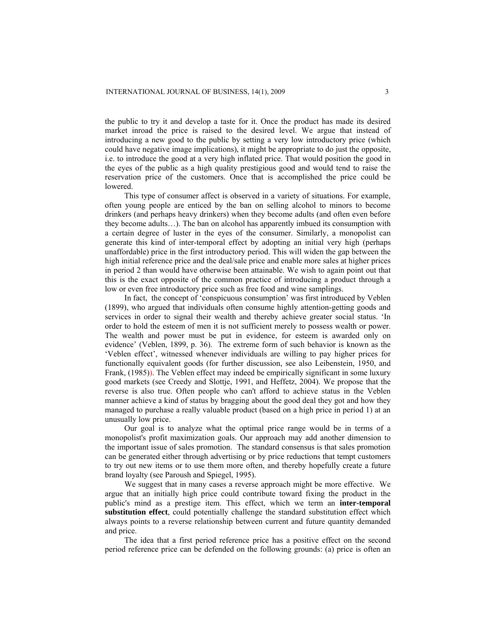the public to try it and develop a taste for it. Once the product has made its desired market inroad the price is raised to the desired level. We argue that instead of introducing a new good to the public by setting a very low introductory price (which could have negative image implications), it might be appropriate to do just the opposite, i.e. to introduce the good at a very high inflated price. That would position the good in the eyes of the public as a high quality prestigious good and would tend to raise the reservation price of the customers. Once that is accomplished the price could be lowered.

This type of consumer affect is observed in a variety of situations. For example, often young people are enticed by the ban on selling alcohol to minors to become drinkers (and perhaps heavy drinkers) when they become adults (and often even before they become adults…). The ban on alcohol has apparently imbued its consumption with a certain degree of luster in the eyes of the consumer. Similarly, a monopolist can generate this kind of inter-temporal effect by adopting an initial very high (perhaps unaffordable) price in the first introductory period. This will widen the gap between the high initial reference price and the deal/sale price and enable more sales at higher prices in period 2 than would have otherwise been attainable. We wish to again point out that this is the exact opposite of the common practice of introducing a product through a low or even free introductory price such as free food and wine samplings.

In fact, the concept of 'conspicuous consumption' was first introduced by Veblen (1899), who argued that individuals often consume highly attention-getting goods and services in order to signal their wealth and thereby achieve greater social status. 'In order to hold the esteem of men it is not sufficient merely to possess wealth or power. The wealth and power must be put in evidence, for esteem is awarded only on evidence' (Veblen, 1899, p. 36). The extreme form of such behavior is known as the 'Veblen effect', witnessed whenever individuals are willing to pay higher prices for functionally equivalent goods (for further discussion, see also Leibenstein, 1950, and Frank, (1985)). The Veblen effect may indeed be empirically significant in some luxury good markets (see Creedy and Slottje, 1991, and Heffetz, 2004). We propose that the reverse is also true. Often people who can't afford to achieve status in the Veblen manner achieve a kind of status by bragging about the good deal they got and how they managed to purchase a really valuable product (based on a high price in period 1) at an unusually low price.

Our goal is to analyze what the optimal price range would be in terms of a monopolist's profit maximization goals. Our approach may add another dimension to the important issue of sales promotion. The standard consensus is that sales promotion can be generated either through advertising or by price reductions that tempt customers to try out new items or to use them more often, and thereby hopefully create a future brand loyalty (see Paroush and Spiegel, 1995).

We suggest that in many cases a reverse approach might be more effective. We argue that an initially high price could contribute toward fixing the product in the public's mind as a prestige item. This effect, which we term an **inter-temporal substitution effect**, could potentially challenge the standard substitution effect which always points to a reverse relationship between current and future quantity demanded and price.

The idea that a first period reference price has a positive effect on the second period reference price can be defended on the following grounds: (a) price is often an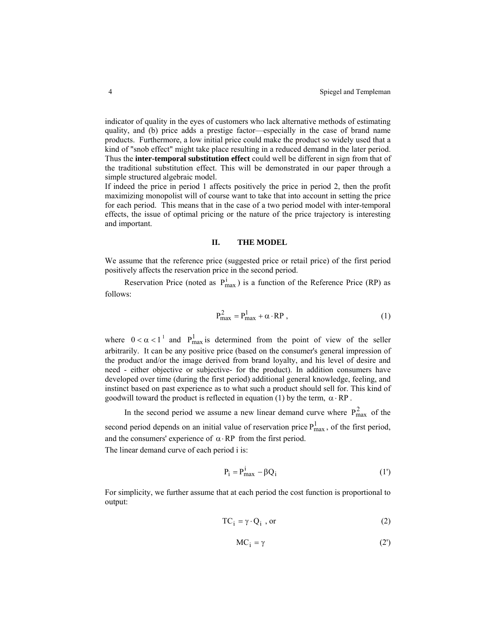indicator of quality in the eyes of customers who lack alternative methods of estimating quality, and (b) price adds a prestige factor—especially in the case of brand name products. Furthermore, a low initial price could make the product so widely used that a kind of "snob effect" might take place resulting in a reduced demand in the later period. Thus the **inter-temporal substitution effect** could well be different in sign from that of the traditional substitution effect. This will be demonstrated in our paper through a simple structured algebraic model.

If indeed the price in period 1 affects positively the price in period 2, then the profit maximizing monopolist will of course want to take that into account in setting the price for each period. This means that in the case of a two period model with inter-temporal effects, the issue of optimal pricing or the nature of the price trajectory is interesting and important.

## **II. THE MODEL**

We assume that the reference price (suggested price or retail price) of the first period positively affects the reservation price in the second period.

Reservation Price (noted as  $P_{max}^i$ ) is a function of the Reference Price (RP) as follows:

$$
P_{\text{max}}^2 = P_{\text{max}}^1 + \alpha \cdot RP \,, \tag{1}
$$

where  $0 < \alpha < 1^{\perp}$  and  $P_{\text{max}}^1$  is determined from the point of view of the seller arbitrarily. It can be any positive price (based on the consumer's general impression of the product and/or the image derived from brand loyalty, and his level of desire and need - either objective or subjective- for the product). In addition consumers have developed over time (during the first period) additional general knowledge, feeling, and instinct based on past experience as to what such a product should sell for. This kind of goodwill toward the product is reflected in equation (1) by the term,  $\alpha \cdot RP$ .

In the second period we assume a new linear demand curve where  $P_{max}^2$  of the second period depends on an initial value of reservation price  $P_{max}^1$ , of the first period, and the consumers' experience of  $\alpha$  · RP from the first period. The linear demand curve of each period i is:

$$
P_i = P_{max}^i - \beta Q_i \tag{1'}
$$

For simplicity, we further assume that at each period the cost function is proportional to output:

$$
TC_i = \gamma \cdot Q_i \text{ , or } \tag{2}
$$

$$
MC_i = \gamma \tag{2'}
$$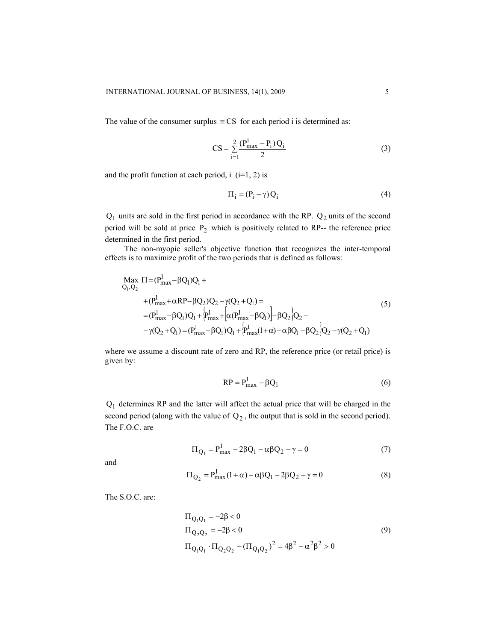The value of the consumer surplus  $\equiv$  CS for each period i is determined as:

$$
CS = \sum_{i=1}^{2} \frac{(P_{\text{max}}^i - P_i) Q_i}{2}
$$
 (3)

and the profit function at each period,  $i$  (i=1, 2) is

$$
\Pi_{i} = (P_{i} - \gamma) Q_{i}
$$
 (4)

 $Q_1$  units are sold in the first period in accordance with the RP.  $Q_2$  units of the second period will be sold at price  $P_2$  which is positively related to RP-- the reference price determined in the first period.

The non-myopic seller's objective function that recognizes the inter-temporal effects is to maximize profit of the two periods that is defined as follows:

$$
Max Π = (Pmax1 - βQ1)Q1 +\n+ (Pmax1 + αRP - βQ2)Q2 - γ(Q2 + Q1) =\n= (Pmax1 - βQ1)Q1 + (Pmax1 + (α(Pmax1 - βQ1)) - βQ2)Q2 -\n-γ(Q2 + Q1) = (Pmax1 - βQ1)Q1 + (Pmax1(1 + α) - αβQ1 - βQ2)Q2 - γ(Q2 + Q1)
$$
\n(5)

where we assume a discount rate of zero and RP, the reference price (or retail price) is given by:

$$
RP = P_{\text{max}}^1 - \beta Q_1 \tag{6}
$$

Q1 determines RP and the latter will affect the actual price that will be charged in the second period (along with the value of  $Q_2$ , the output that is sold in the second period). The F.O.C. are

$$
\Pi_{Q_1} = P_{\text{max}}^1 - 2\beta Q_1 - \alpha \beta Q_2 - \gamma = 0
$$
 (7)

and

$$
\Pi_{Q_2} = P_{\text{max}}^1 (1 + \alpha) - \alpha \beta Q_1 - 2\beta Q_2 - \gamma = 0
$$
 (8)

The S.O.C. are:

$$
\Pi_{Q_1Q_1} = -2\beta < 0
$$
\n
$$
\Pi_{Q_2Q_2} = -2\beta < 0
$$
\n
$$
\Pi_{Q_1Q_1} \cdot \Pi_{Q_2Q_2} - (\Pi_{Q_1Q_2})^2 = 4\beta^2 - \alpha^2 \beta^2 > 0
$$
\n
$$
(9)
$$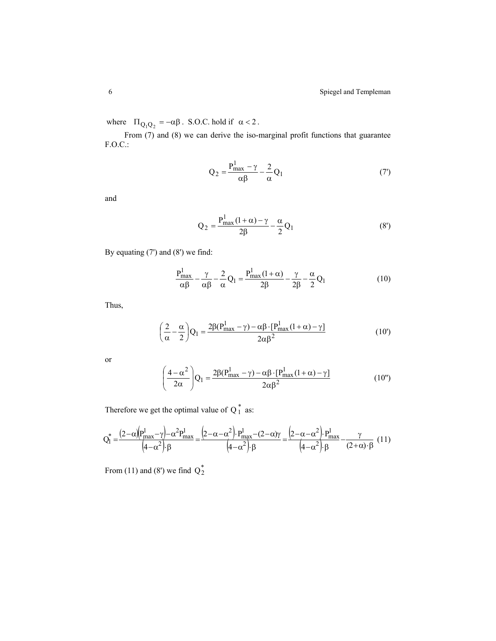where  $\Pi_{Q_1 Q_2} = -\alpha \beta$ . S.O.C. hold if  $\alpha < 2$ .

From (7) and (8) we can derive the iso-marginal profit functions that guarantee F.O.C.:

$$
Q_2 = \frac{P_{\text{max}}^1 - \gamma}{\alpha \beta} - \frac{2}{\alpha} Q_1 \tag{7}
$$

and

$$
Q_2 = \frac{P_{\text{max}}^1 (1 + \alpha) - \gamma}{2\beta} - \frac{\alpha}{2} Q_1
$$
 (8')

By equating (7') and (8') we find:

$$
\frac{P_{\text{max}}^1}{\alpha \beta} - \frac{\gamma}{\alpha \beta} - \frac{2}{\alpha} Q_1 = \frac{P_{\text{max}}^1 (1 + \alpha)}{2\beta} - \frac{\gamma}{2\beta} - \frac{\alpha}{2} Q_1 \tag{10}
$$

Thus,

$$
\left(\frac{2}{\alpha} - \frac{\alpha}{2}\right)Q_1 = \frac{2\beta(P_{\text{max}}^1 - \gamma) - \alpha\beta \cdot [P_{\text{max}}^1(1+\alpha) - \gamma]}{2\alpha\beta^2}
$$
(10')

or

$$
\left(\frac{4-\alpha^2}{2\alpha}\right)Q_1 = \frac{2\beta(P_{\text{max}}^1 - \gamma) - \alpha\beta \cdot [P_{\text{max}}^1(1+\alpha) - \gamma]}{2\alpha\beta^2}
$$
(10")

Therefore we get the optimal value of  $Q_1^*$  as:

$$
Q_1^* = \frac{(2-\alpha)\left(P_{\text{max}}^1 - \gamma\right) - \alpha^2 P_{\text{max}}^1}{\left(4 - \alpha^2\right) \cdot \beta} = \frac{\left(2 - \alpha - \alpha^2\right) \cdot P_{\text{max}}^1 - \left(2 - \alpha\gamma\right)}{\left(4 - \alpha^2\right) \cdot \beta} = \frac{\left(2 - \alpha - \alpha^2\right) \cdot P_{\text{max}}^1}{\left(4 - \alpha^2\right) \cdot \beta} - \frac{\gamma}{\left(2 + \alpha\right) \cdot \beta} \tag{11}
$$

From (11) and (8') we find  $Q_2^*$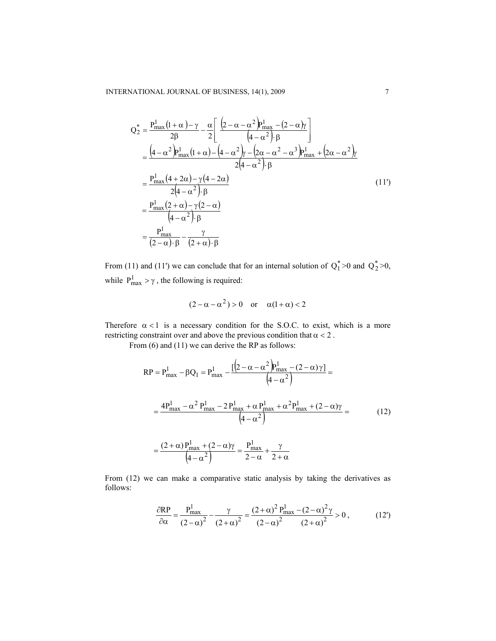$$
Q_{2}^{*} = \frac{P_{\text{max}}^{1}(1+\alpha)-\gamma}{2\beta} - \frac{\alpha}{2} \left[ \frac{(2-\alpha-\alpha^{2})P_{\text{max}}^{1} - (2-\alpha)\gamma}{(4-\alpha^{2})\beta} \right]
$$
  
\n
$$
= \frac{(4-\alpha^{2})P_{\text{max}}^{1}(1+\alpha) - (4-\alpha^{2})\gamma - (2\alpha-\alpha^{2}-\alpha^{3})P_{\text{max}}^{1} + (2\alpha-\alpha^{2})\gamma}{2(4-\alpha^{2})\beta}
$$
  
\n
$$
= \frac{P_{\text{max}}^{1}(4+2\alpha)-\gamma(4-2\alpha)}{2(4-\alpha^{2})\beta}
$$
  
\n
$$
= \frac{P_{\text{max}}^{1}(2+\alpha)-\gamma(2-\alpha)}{(4-\alpha^{2})\beta}
$$
  
\n
$$
= \frac{P_{\text{max}}^{1}}{(2-\alpha)\beta} - \frac{\gamma}{(2+\alpha)\beta}
$$
  
\n(11')

From (11) and (11') we can conclude that for an internal solution of  $Q_1^* > 0$  and  $Q_2^* > 0$ , while  $P_{\text{max}}^1 > \gamma$ , the following is required:

$$
(2 - \alpha - \alpha^2) > 0 \quad \text{or} \quad \alpha(1 + \alpha) < 2
$$

Therefore  $\alpha$ <1 is a necessary condition for the S.O.C. to exist, which is a more restricting constraint over and above the previous condition that  $\alpha < 2$ .

From (6) and (11) we can derive the RP as follows:

$$
RP = P_{\text{max}}^1 - \beta Q_1 = P_{\text{max}}^1 - \frac{[(2 - \alpha - \alpha^2)P_{\text{max}}^1 - (2 - \alpha)\gamma]}{(4 - \alpha^2)} =
$$
  
= 
$$
\frac{4P_{\text{max}}^1 - \alpha^2 P_{\text{max}}^1 - 2P_{\text{max}}^1 + \alpha P_{\text{max}}^1 + \alpha^2 P_{\text{max}}^1 + (2 - \alpha)\gamma}{(4 - \alpha^2)} =
$$

$$
= \frac{(2 + \alpha)P_{\text{max}}^1 + (2 - \alpha)\gamma}{(4 - \alpha^2)} = \frac{P_{\text{max}}^1}{2 - \alpha} + \frac{\gamma}{2 + \alpha}
$$
(12)

From (12) we can make a comparative static analysis by taking the derivatives as follows:

$$
\frac{\partial \text{RP}}{\partial \alpha} = \frac{P_{\text{max}}^1}{(2-\alpha)^2} - \frac{\gamma}{(2+\alpha)^2} = \frac{(2+\alpha)^2 P_{\text{max}}^1 - (2-\alpha)^2 \gamma}{(2-\alpha)^2 (2+\alpha)^2} > 0, \tag{12'}
$$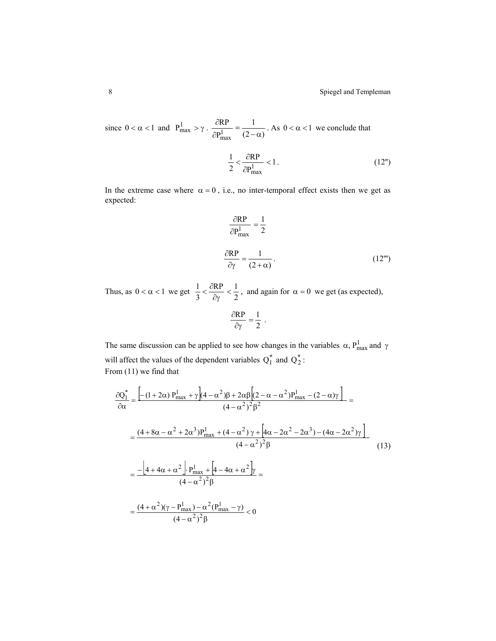since  $0 < \alpha < 1$  and  $P_{\text{max}}^1 > \gamma \cdot \frac{\partial RP}{\partial P_{\text{max}}^1} = \frac{1}{(2-\alpha)}$ P RP  $\frac{\partial \text{RP}}{\partial P_{\text{max}}^1} = \frac{1}{(2-\alpha)}$ . As  $0 < \alpha < 1$  we conclude that

$$
\frac{1}{2} < \frac{\partial \mathcal{RP}}{\partial P_{\text{max}}^1} < 1. \tag{12''}
$$

In the extreme case where  $\alpha = 0$ , i.e., no inter-temporal effect exists then we get as expected:

$$
\frac{\partial \text{RP}}{\partial P_{\text{max}}^1} = \frac{1}{2}
$$
  

$$
\frac{\partial \text{RP}}{\partial \gamma} = \frac{1}{(2+\alpha)}.
$$
 (12''')

Thus, as  $0 < \alpha < 1$  we get  $\frac{1}{3} < \frac{\partial RP}{\partial \gamma} < \frac{1}{2}$ 3  $\frac{1}{3} < \frac{\partial RP}{\partial \gamma} <$  $\langle \frac{\partial RP}{\partial \rho} \rangle \langle \frac{1}{2} \rangle$ , and again for  $\alpha = 0$  we get (as expected),  $\frac{\partial \text{RP}}{\partial \gamma} = \frac{1}{2}$ .

The same discussion can be applied to see how changes in the variables  $\alpha$ ,  $P_{max}^1$  and  $\gamma$ will affect the values of the dependent variables  $Q_1^*$  and  $Q_2^*$ : From (11) we find that

$$
\frac{\partial Q_{1}^{*}}{\partial \alpha} = \frac{\left[ -(1+2\alpha) P_{\text{max}}^{1} + \gamma \right] (4 - \alpha^{2}) \beta + 2\alpha \beta \left[ (2 - \alpha - \alpha^{2}) P_{\text{max}}^{1} - (2 - \alpha) \gamma \right]}{(4 - \alpha^{2})^{2} \beta^{2}} =
$$
\n
$$
= \frac{(4 + 8\alpha - \alpha^{2} + 2\alpha^{3}) P_{\text{max}}^{1} + (4 - \alpha^{2}) \gamma + \left[ 4\alpha - 2\alpha^{2} - 2\alpha^{3} \right] - (4\alpha - 2\alpha^{2}) \gamma \right]}{(4 - \alpha^{2})^{2} \beta}
$$
\n
$$
= \frac{-\left[ 4 + 4\alpha + \alpha^{2} \right] \cdot P_{\text{max}}^{1} + \left[ 4 - 4\alpha + \alpha^{2} \right] \gamma}{(4 - \alpha^{2})^{2} \beta} =
$$
\n
$$
= \frac{(4 + \alpha^{2})(\gamma - P_{\text{max}}^{1}) - \alpha^{2} (P_{\text{max}}^{1} - \gamma)}{(4 - \alpha^{2})^{2} \beta} < 0
$$
\n
$$
(4 - \alpha^{2})^{2} \beta
$$
\n(13)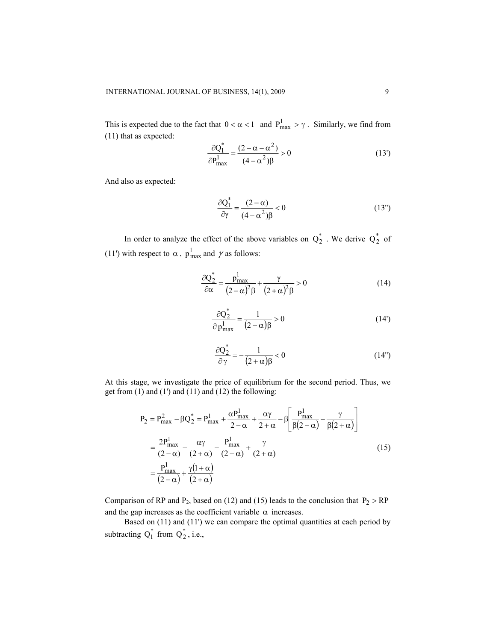This is expected due to the fact that  $0 < \alpha < 1$  and  $P_{max}^1 > \gamma$ . Similarly, we find from (11) that as expected:

$$
\frac{\partial Q_1^*}{\partial P_{\text{max}}^1} = \frac{(2 - \alpha - \alpha^2)}{(4 - \alpha^2)\beta} > 0
$$
\n(13')

And also as expected:

$$
\frac{\partial Q_1^*}{\partial \gamma} = \frac{(2-\alpha)}{(4-\alpha^2)\beta} < 0
$$
\n(13")

In order to analyze the effect of the above variables on  $Q_2^*$  . We derive  $Q_2^*$  of (11') with respect to  $\alpha$ ,  $p_{max}^1$  and  $\gamma$  as follows:

$$
\frac{\partial Q_2^*}{\partial \alpha} = \frac{p_{\text{max}}^1}{(2-\alpha)^2 \beta} + \frac{\gamma}{(2+\alpha)^2 \beta} > 0
$$
\n(14)

$$
\frac{\partial Q_2^*}{\partial p_{\text{max}}^1} = \frac{1}{(2-\alpha)\beta} > 0
$$
\n(14')

$$
\frac{\partial Q_2^*}{\partial \gamma} = -\frac{1}{(2+\alpha)\beta} < 0 \tag{14"}
$$

At this stage, we investigate the price of equilibrium for the second period. Thus, we get from (1) and (1') and (11) and (12) the following:

$$
P_2 = P_{\text{max}}^2 - \beta Q_2^* = P_{\text{max}}^1 + \frac{\alpha P_{\text{max}}^1}{2 - \alpha} + \frac{\alpha \gamma}{2 + \alpha} - \beta \left[ \frac{P_{\text{max}}^1}{\beta(2 - \alpha)} - \frac{\gamma}{\beta(2 + \alpha)} \right]
$$
  
= 
$$
\frac{2P_{\text{max}}^1}{(2 - \alpha)} + \frac{\alpha \gamma}{(2 + \alpha)} - \frac{P_{\text{max}}^1}{(2 - \alpha)} + \frac{\gamma}{(2 + \alpha)}
$$
  
= 
$$
\frac{P_{\text{max}}^1}{(2 - \alpha)} + \frac{\gamma(1 + \alpha)}{(2 + \alpha)}
$$
(15)

Comparison of RP and  $P_2$ , based on (12) and (15) leads to the conclusion that  $P_2 > RP$ and the gap increases as the coefficient variable  $\alpha$  increases.

 Based on (11) and (11') we can compare the optimal quantities at each period by subtracting  $Q_1^*$  from  $Q_2^*$ , i.e.,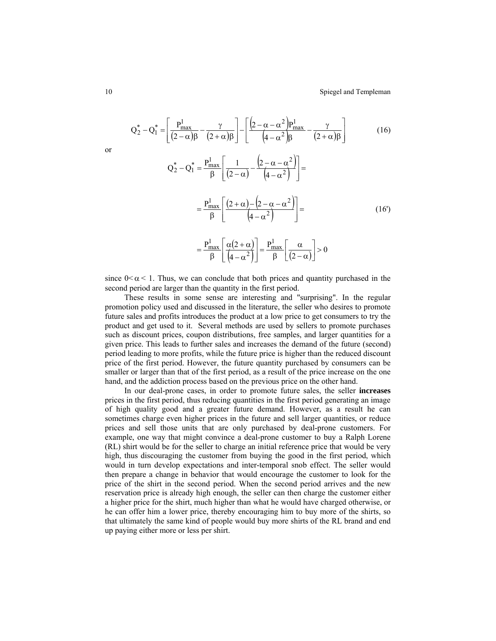$$
Q_{2}^{*} - Q_{1}^{*} = \left[ \frac{P_{\text{max}}^{1}}{(2-\alpha)\beta} - \frac{\gamma}{(2+\alpha)\beta} \right] - \left[ \frac{(2-\alpha-\alpha^{2})P_{\text{max}}^{1}}{(4-\alpha^{2})\beta} - \frac{\gamma}{(2+\alpha)\beta} \right]
$$
\n
$$
Q_{2}^{*} - Q_{1}^{*} = \frac{P_{\text{max}}^{1}}{\beta} \left[ \frac{1}{(2-\alpha)} - \frac{(2-\alpha-\alpha^{2})}{(4-\alpha^{2})} \right] =
$$
\n
$$
= \frac{P_{\text{max}}^{1}}{\beta} \left[ \frac{(2+\alpha)-(2-\alpha-\alpha^{2})}{(4-\alpha^{2})} \right] =
$$
\n
$$
= \frac{P_{\text{max}}^{1}}{\beta} \left[ \frac{\alpha(2+\alpha)}{(4-\alpha^{2})} \right] = \frac{P_{\text{max}}^{1}}{\beta} \left[ \frac{\alpha}{(2-\alpha)} \right] > 0
$$
\n(16')

since  $0 < \alpha < 1$ . Thus, we can conclude that both prices and quantity purchased in the second period are larger than the quantity in the first period.

These results in some sense are interesting and "surprising". In the regular promotion policy used and discussed in the literature, the seller who desires to promote future sales and profits introduces the product at a low price to get consumers to try the product and get used to it. Several methods are used by sellers to promote purchases such as discount prices, coupon distributions, free samples, and larger quantities for a given price. This leads to further sales and increases the demand of the future (second) period leading to more profits, while the future price is higher than the reduced discount price of the first period. However, the future quantity purchased by consumers can be smaller or larger than that of the first period, as a result of the price increase on the one hand, and the addiction process based on the previous price on the other hand.

In our deal-prone cases, in order to promote future sales, the seller **increases**  prices in the first period, thus reducing quantities in the first period generating an image of high quality good and a greater future demand. However, as a result he can sometimes charge even higher prices in the future and sell larger quantities, or reduce prices and sell those units that are only purchased by deal-prone customers. For example, one way that might convince a deal-prone customer to buy a Ralph Lorene (RL) shirt would be for the seller to charge an initial reference price that would be very high, thus discouraging the customer from buying the good in the first period, which would in turn develop expectations and inter-temporal snob effect. The seller would then prepare a change in behavior that would encourage the customer to look for the price of the shirt in the second period. When the second period arrives and the new reservation price is already high enough, the seller can then charge the customer either a higher price for the shirt, much higher than what he would have charged otherwise, or he can offer him a lower price, thereby encouraging him to buy more of the shirts, so that ultimately the same kind of people would buy more shirts of the RL brand and end up paying either more or less per shirt.

or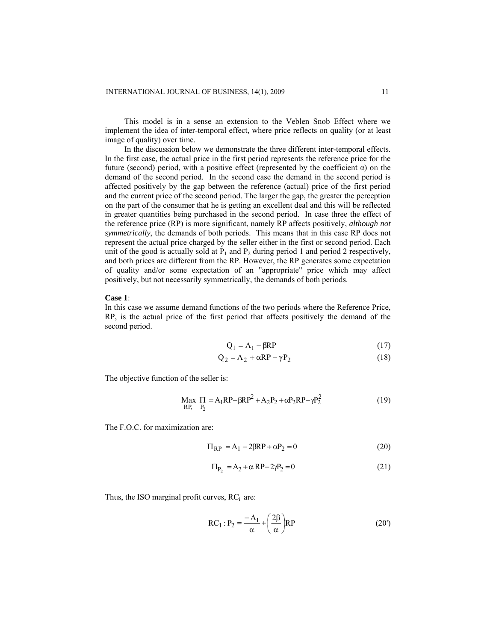This model is in a sense an extension to the Veblen Snob Effect where we implement the idea of inter-temporal effect, where price reflects on quality (or at least image of quality) over time.

In the discussion below we demonstrate the three different inter-temporal effects. In the first case, the actual price in the first period represents the reference price for the future (second) period, with a positive effect (represented by the coefficient  $\alpha$ ) on the demand of the second period. In the second case the demand in the second period is affected positively by the gap between the reference (actual) price of the first period and the current price of the second period. The larger the gap, the greater the perception on the part of the consumer that he is getting an excellent deal and this will be reflected in greater quantities being purchased in the second period. In case three the effect of the reference price (RP) is more significant, namely RP affects positively, *although not symmetrically*, the demands of both periods. This means that in this case RP does not represent the actual price charged by the seller either in the first or second period. Each unit of the good is actually sold at  $P_1$  and  $P_2$  during period 1 and period 2 respectively, and both prices are different from the RP. However, the RP generates some expectation of quality and/or some expectation of an "appropriate" price which may affect positively, but not necessarily symmetrically, the demands of both periods.

#### **Case 1**:

In this case we assume demand functions of the two periods where the Reference Price, RP, is the actual price of the first period that affects positively the demand of the second period.

$$
Q_1 = A_1 - \beta RP \tag{17}
$$

$$
Q_2 = A_2 + \alpha RP - \gamma P_2 \tag{18}
$$

The objective function of the seller is:

$$
\begin{array}{ll}\n\text{Max} & \Pi = A_1 \text{RP} - \beta \text{RP}^2 + A_2 \text{P}_2 + \alpha \text{P}_2 \text{RP} - \gamma \text{P}_2^2 \\
\text{RP}, & \text{P}_2\n\end{array} \tag{19}
$$

The F.O.C. for maximization are:

$$
\Pi_{\rm RP} = A_1 - 2\beta \mathcal{R} \mathcal{P} + \alpha \mathcal{P}_2 = 0 \tag{20}
$$

$$
\Pi_{P_2} = A_2 + \alpha \, RP - 2\gamma P_2 = 0 \tag{21}
$$

Thus, the ISO marginal profit curves,  $RC<sub>i</sub>$  are:

$$
RC_1 : P_2 = \frac{-A_1}{\alpha} + \left(\frac{2\beta}{\alpha}\right)RP
$$
 (20')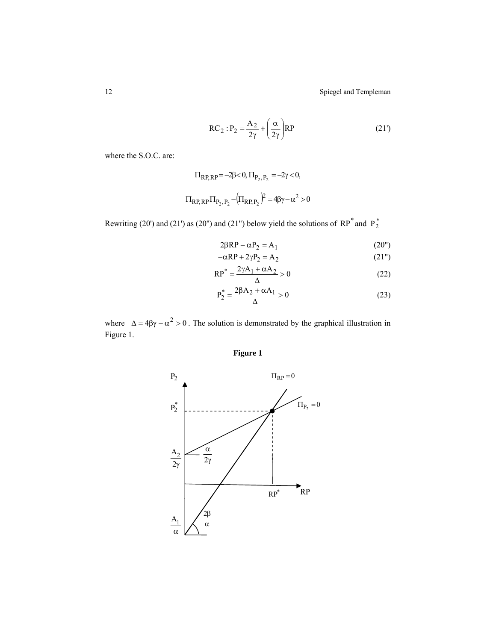12 Spiegel and Templeman

$$
RC_2: P_2 = \frac{A_2}{2\gamma} + \left(\frac{\alpha}{2\gamma}\right)RP
$$
 (21')

where the S.O.C. are:

$$
\Pi_{RP,RP} = -2\beta < 0, \Pi_{P_2, P_2} = -2\gamma < 0,
$$
\n
$$
\Pi_{RP,RP} \Pi_{P_2, P_2} - \left(\Pi_{RP, P_2}\right)^2 = 4\beta\gamma - \alpha^2 > 0
$$

Rewriting (20') and (21') as (20") and (21") below yield the solutions of  $RP^*$  and  $P_2^*$ 

$$
2\beta RP - \alpha P_2 = A_1 \tag{20"}
$$

$$
-\alpha \mathbf{R} \mathbf{P} + 2\gamma \mathbf{P}_2 = \mathbf{A}_2 \tag{21"}
$$

$$
RP^* = \frac{2\gamma A_1 + \alpha A_2}{\Delta} > 0
$$
 (22)

$$
P_2^* = \frac{2\beta A_2 + \alpha A_1}{\Delta} > 0
$$
 (23)

where  $\Delta = 4\beta\gamma - \alpha^2 > 0$ . The solution is demonstrated by the graphical illustration in Figure 1.  $\Delta = 4\beta\gamma - \alpha^2 > 0$ 

# **Figure 1**

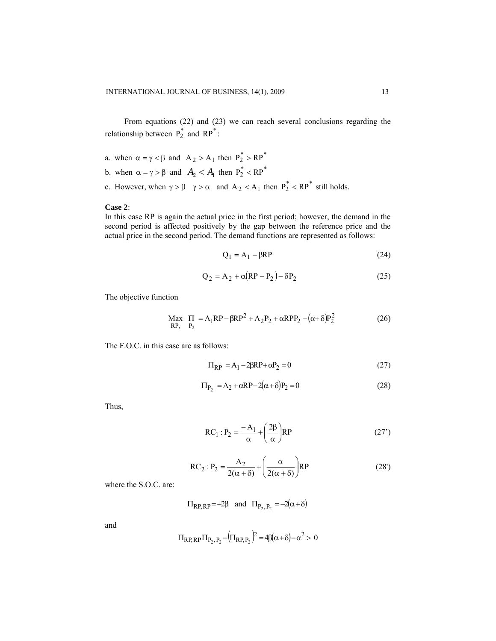From equations (22) and (23) we can reach several conclusions regarding the relationship between  $P_2^*$  and  $RP^*$ :

- a. when  $\alpha = \gamma < \beta$  and  $A_2 > A_1$  then  $P_2^* > RP^*$
- b. when  $\alpha = \gamma > \beta$  and  $A_2 < A_1$  then  $P_2^* < R P^*$
- c. However, when  $\gamma > \beta$   $\gamma > \alpha$  and  $A_2 < A_1$  then  $P_2^* < R P^*$  still holds.

#### **Case 2**:

In this case RP is again the actual price in the first period; however, the demand in the second period is affected positively by the gap between the reference price and the actual price in the second period. The demand functions are represented as follows:

$$
Q_1 = A_1 - \beta RP \tag{24}
$$

$$
Q_2 = A_2 + \alpha (RP - P_2) - \delta P_2 \tag{25}
$$

The objective function

( ) <sup>2</sup> 222 2 2 1 ,RP P Max RPPPARPRPA P 2 δ+α−α++β−=Π (26)

The F.O.C. in this case are as follows:

$$
\Pi_{\rm RP} = A_1 - 2\beta \mathcal{R} \mathcal{P} + \alpha \mathcal{P}_2 = 0 \tag{27}
$$

$$
\Pi_{P_2} = A_2 + \alpha RP - 2(\alpha + \delta)P_2 = 0 \tag{28}
$$

Thus,

$$
RC_1 : P_2 = \frac{-A_1}{\alpha} + \left(\frac{2\beta}{\alpha}\right)RP
$$
 (27')

$$
RC_2: P_2 = \frac{A_2}{2(\alpha + \delta)} + \left(\frac{\alpha}{2(\alpha + \delta)}\right) RP
$$
 (28')

where the S.O.C. are:

$$
\Pi_{RP,RP} = -2\beta \quad \text{and} \quad \Pi_{P_2, P_2} = -2(\alpha + \delta)
$$

and

$$
\Pi_{\text{RP},\text{RP}} \Pi_{P_2,P_2} - (\Pi_{\text{RP},P_2})^2 = 4\beta(\alpha + \delta) - \alpha^2 > 0
$$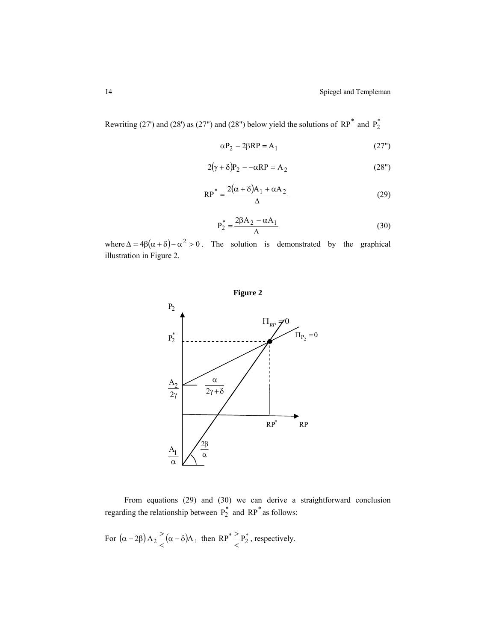Rewriting (27') and (28') as (27") and (28") below yield the solutions of  $RP^*$  and  $P_2^*$ 

$$
\alpha P_2 - 2\beta RP = A_1 \tag{27"}
$$

$$
2(\gamma + \delta)P_2 - -\alpha RP = A_2 \tag{28''}
$$

$$
RP^* = \frac{2(\alpha + \delta)A_1 + \alpha A_2}{\Delta}
$$
 (29)

$$
P_2^* = \frac{2\beta A_2 - \alpha A_1}{\Delta} \tag{30}
$$

where  $\Delta = 4\beta(\alpha + \delta) - \alpha^2 > 0$ . The solution is demonstrated by the graphical illustration in Figure 2.



From equations (29) and (30) we can derive a straightforward conclusion regarding the relationship between  $P_2^*$  and RP<sup>\*</sup> as follows:

For  $(\alpha - 2\beta) A_2 \geq (\alpha - \delta) A_1$  then RP<sup>\*</sup> $\geq P_2^*$ , respectively.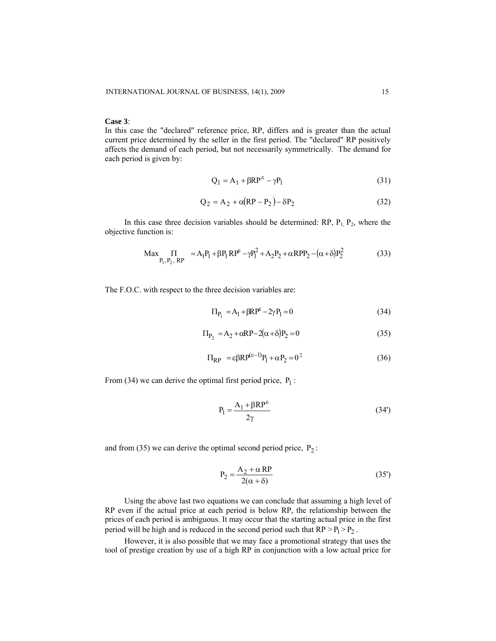#### **Case 3**:

In this case the "declared" reference price, RP, differs and is greater than the actual current price determined by the seller in the first period. The "declared" RP positively affects the demand of each period, but not necessarily symmetrically. The demand for each period is given by:

$$
Q_1 = A_1 + \beta R P^{\varepsilon} - \gamma P_1 \tag{31}
$$

$$
Q_2 = A_2 + \alpha (RP - P_2) - \delta P_2 \tag{32}
$$

In this case three decision variables should be determined:  $RP$ ,  $P_1$ ,  $P_2$ , where the objective function is:

$$
\text{Max}_{P_1, P_2, \text{RP}} \quad = A_1 P_1 + \beta P_1 \text{RP}^{\varepsilon} - \gamma P_1^2 + A_2 P_2 + \alpha \text{RPP}_2 - (\alpha + \delta) P_2^2 \tag{33}
$$

The F.O.C. with respect to the three decision variables are:

$$
\Pi_{P_1} = A_1 + \beta R P^{\mathcal{E}} - 2\gamma P_1 = 0 \tag{34}
$$

$$
\Pi_{P_2} = A_2 + \alpha RP - 2(\alpha + \delta)P_2 = 0
$$
\n(35)

$$
\Pi_{\rm RP} = \varepsilon \beta \mathcal{R} \mathcal{P}^{(\varepsilon - 1)} \mathcal{P}_1 + \alpha \mathcal{P}_2 = 0^2 \tag{36}
$$

From (34) we can derive the optimal first period price,  $P_1$ :

$$
P_1 = \frac{A_1 + \beta RP^{\epsilon}}{2\gamma}
$$
 (34')

and from (35) we can derive the optimal second period price,  $P_2$ :

$$
P_2 = \frac{A_2 + \alpha \, RP}{2(\alpha + \delta)}\tag{35'}
$$

Using the above last two equations we can conclude that assuming a high level of RP even if the actual price at each period is below RP, the relationship between the prices of each period is ambiguous. It may occur that the starting actual price in the first period will be high and is reduced in the second period such that  $RP > P_1 > P_2$ .

However, it is also possible that we may face a promotional strategy that uses the tool of prestige creation by use of a high RP in conjunction with a low actual price for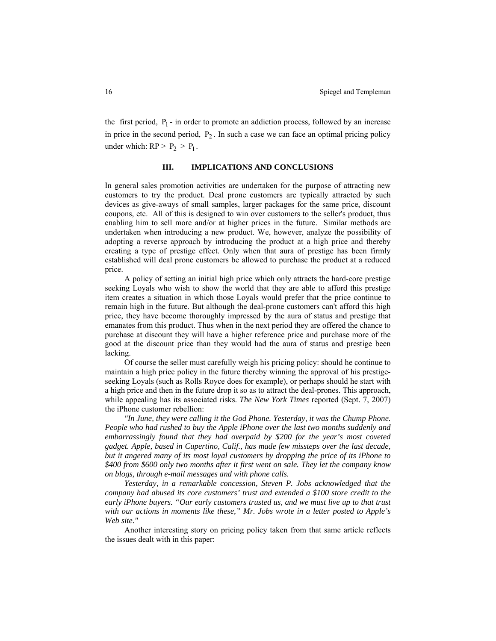the first period,  $P_1$  - in order to promote an addiction process, followed by an increase in price in the second period,  $P_2$ . In such a case we can face an optimal pricing policy under which:  $RP > P_2 > P_1$ .

#### **III. IMPLICATIONS AND CONCLUSIONS**

In general sales promotion activities are undertaken for the purpose of attracting new customers to try the product. Deal prone customers are typically attracted by such devices as give-aways of small samples, larger packages for the same price, discount coupons, etc. All of this is designed to win over customers to the seller's product, thus enabling him to sell more and/or at higher prices in the future. Similar methods are undertaken when introducing a new product. We, however, analyze the possibility of adopting a reverse approach by introducing the product at a high price and thereby creating a type of prestige effect. Only when that aura of prestige has been firmly established will deal prone customers be allowed to purchase the product at a reduced price.

A policy of setting an initial high price which only attracts the hard-core prestige seeking Loyals who wish to show the world that they are able to afford this prestige item creates a situation in which those Loyals would prefer that the price continue to remain high in the future. But although the deal-prone customers can't afford this high price, they have become thoroughly impressed by the aura of status and prestige that emanates from this product. Thus when in the next period they are offered the chance to purchase at discount they will have a higher reference price and purchase more of the good at the discount price than they would had the aura of status and prestige been lacking.

Of course the seller must carefully weigh his pricing policy: should he continue to maintain a high price policy in the future thereby winning the approval of his prestigeseeking Loyals (such as Rolls Royce does for example), or perhaps should he start with a high price and then in the future drop it so as to attract the deal-prones. This approach, while appealing has its associated risks. *The New York Times* reported (Sept. 7, 2007) the iPhone customer rebellion:

*"In June, they were calling it the God Phone. Yesterday, it was the Chump Phone. People who had rushed to buy the [Apple](http://topics.nytimes.com/top/news/business/companies/apple_computer_inc/index.html?inline=nyt-org) [iPhone](http://topics.nytimes.com/top/reference/timestopics/subjects/i/iphone/index.html?inline=nyt-classifier) over the last two months suddenly and embarrassingly found that they had overpaid by \$200 for the year's most coveted gadget. Apple, based in Cupertino, Calif., has made few missteps over the last decade, but it angered many of its most loyal customers by dropping the price of its iPhone to \$400 from \$600 only two months after it first went on sale. They let the company know on blogs, through e-mail messages and with phone calls.* 

*Yesterday, in a remarkable concession, [Steven P. Jobs](http://topics.nytimes.com/top/reference/timestopics/people/j/steven_p_jobs/index.html?inline=nyt-per) acknowledged that the company had abused its core customers' trust and extended a \$100 store credit to the early iPhone buyers. "Our early customers trusted us, and we must live up to that trust with our actions in moments like these," Mr. Jobs wrote in a letter posted to Apple's Web [site.](http://www.apple.com/hotnews/openiphoneletter/)"* 

Another interesting story on pricing policy taken from that same article reflects the issues dealt with in this paper: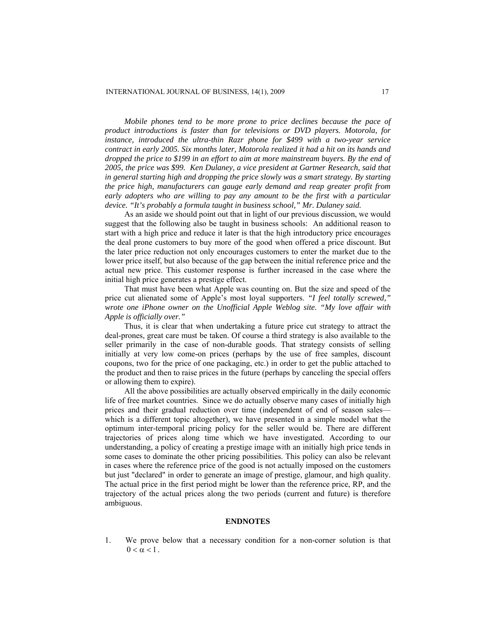*Mobile phones tend to be more prone to price declines because the pace of product introductions is faster than for televisions or DVD players. [Motorola](http://topics.nytimes.com/top/news/business/companies/motorola_inc/index.html?inline=nyt-org), for instance, introduced the ultra-thin Razr phone for \$499 with a two-year service contract in early 2005. Six months later, Motorola realized it had a hit on its hands and dropped the price to \$199 in an effort to aim at more mainstream buyers. By the end of 2005, the price was \$99. Ken Dulaney, a vice president at Gartner Research, said that in general starting high and dropping the price slowly was a smart strategy. By starting the price high, manufacturers can gauge early demand and reap greater profit from early adopters who are willing to pay any amount to be the first with a particular device. "It's probably a formula taught in business school," Mr. Dulaney said.* 

As an aside we should point out that in light of our previous discussion, we would suggest that the following also be taught in business schools: An additional reason to start with a high price and reduce it later is that the high introductory price encourages the deal prone customers to buy more of the good when offered a price discount. But the later price reduction not only encourages customers to enter the market due to the lower price itself, but also because of the gap between the initial reference price and the actual new price. This customer response is further increased in the case where the initial high price generates a prestige effect.

That must have been what Apple was counting on. But the size and speed of the price cut alienated some of Apple's most loyal supporters. *"I feel totally screwed," wrote one iPhone owner on the Unofficial Apple Weblog site. "My love affair with Apple is officially over."* 

Thus, it is clear that when undertaking a future price cut strategy to attract the deal-prones, great care must be taken. Of course a third strategy is also available to the seller primarily in the case of non-durable goods. That strategy consists of selling initially at very low come-on prices (perhaps by the use of free samples, discount coupons, two for the price of one packaging, etc.) in order to get the public attached to the product and then to raise prices in the future (perhaps by canceling the special offers or allowing them to expire).

All the above possibilities are actually observed empirically in the daily economic life of free market countries. Since we do actually observe many cases of initially high prices and their gradual reduction over time (independent of end of season sales which is a different topic altogether), we have presented in a simple model what the optimum inter-temporal pricing policy for the seller would be. There are different trajectories of prices along time which we have investigated. According to our understanding, a policy of creating a prestige image with an initially high price tends in some cases to dominate the other pricing possibilities. This policy can also be relevant in cases where the reference price of the good is not actually imposed on the customers but just "declared" in order to generate an image of prestige, glamour, and high quality. The actual price in the first period might be lower than the reference price, RP, and the trajectory of the actual prices along the two periods (current and future) is therefore ambiguous.

## **ENDNOTES**

1. We prove below that a necessary condition for a non-corner solution is that  $0 < \alpha < 1$ .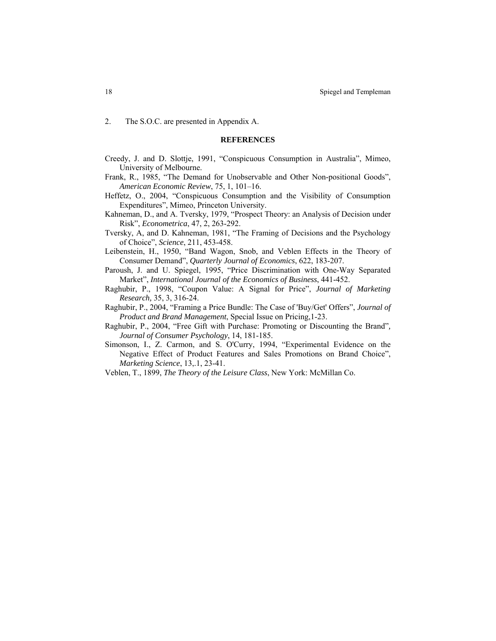2. The S.O.C. are presented in Appendix A.

#### **REFERENCES**

- Creedy, J. and D. Slottje, 1991, "Conspicuous Consumption in Australia", Mimeo, University of Melbourne.
- Frank, R., 1985, "The Demand for Unobservable and Other Non-positional Goods", *American Economic Review*, 75, 1, 101–16.
- Heffetz, O., 2004, "Conspicuous Consumption and the Visibility of Consumption Expenditures", Mimeo, Princeton University.
- Kahneman, D., and A. Tversky, 1979, "[Prospect Theory: an Analysis of Decision under](http://proquest.umi.com/pqdweb?index=1&did=677740721&SrchMode=1&sid=1&Fmt=10&VInst=PROD&VType=PQD&RQT=309&VName=PQD&TS=1187870027&clientId=41928)  [Risk"](http://proquest.umi.com/pqdweb?index=1&did=677740721&SrchMode=1&sid=1&Fmt=10&VInst=PROD&VType=PQD&RQT=309&VName=PQD&TS=1187870027&clientId=41928), *Econometrica*, 47, 2, 263-292.
- Tversky, A, and D. Kahneman, 1981, "The Framing of Decisions and the Psychology of Choice", *Science*, 211, 453-458.
- Leibenstein, H., 1950, "Band Wagon, Snob, and Veblen Effects in the Theory of Consumer Demand", *Quarterly Journal of Economics*, 622, 183-207.
- Paroush, J. and U. Spiegel, 1995, "Price Discrimination with One-Way Separated Market", *International Journal of the Economics of Business*, 441-452.
- Raghubir, P., 1998, "Coupon Value: A Signal for Price", *Journal of Marketing Research,* 35, 3, 316-24.
- Raghubir, P., 2004, "Framing a Price Bundle: The Case of 'Buy/Get' Offers", *Journal of Product and Brand Management*, Special Issue on Pricing,1-23.
- Raghubir, P., 2004, ["Free Gift with Purchase: Promoting or Discounting the Brand"](http://proquest.umi.com/pqdweb?index=10&did=634643491&SrchMode=3&sid=1&Fmt=2&VInst=PROD&VType=PQD&RQT=309&VName=PQD&TS=1187765182&clientId=41928&aid=1)*, Journal of Consumer Psychology*, 14, 181-185.
- Simonson, I., Z. Carmon, and S. O'Curry, 1994, ["Experimental Evidence on the](http://proquest.umi.com/pqdweb?index=5&did=618265121&SrchMode=3&sid=3&Fmt=10&VInst=PROD&VType=PQD&RQT=309&VName=PQD&TS=1187769513&clientId=41928&aid=4)  [Negative Effect of Product Features and Sales Promotions on Brand Choice"](http://proquest.umi.com/pqdweb?index=5&did=618265121&SrchMode=3&sid=3&Fmt=10&VInst=PROD&VType=PQD&RQT=309&VName=PQD&TS=1187769513&clientId=41928&aid=4), *Marketing Science*, 13,.1, 23-41.
- Veblen, T., 1899, *The Theory of the Leisure Class*, New York: McMillan Co.